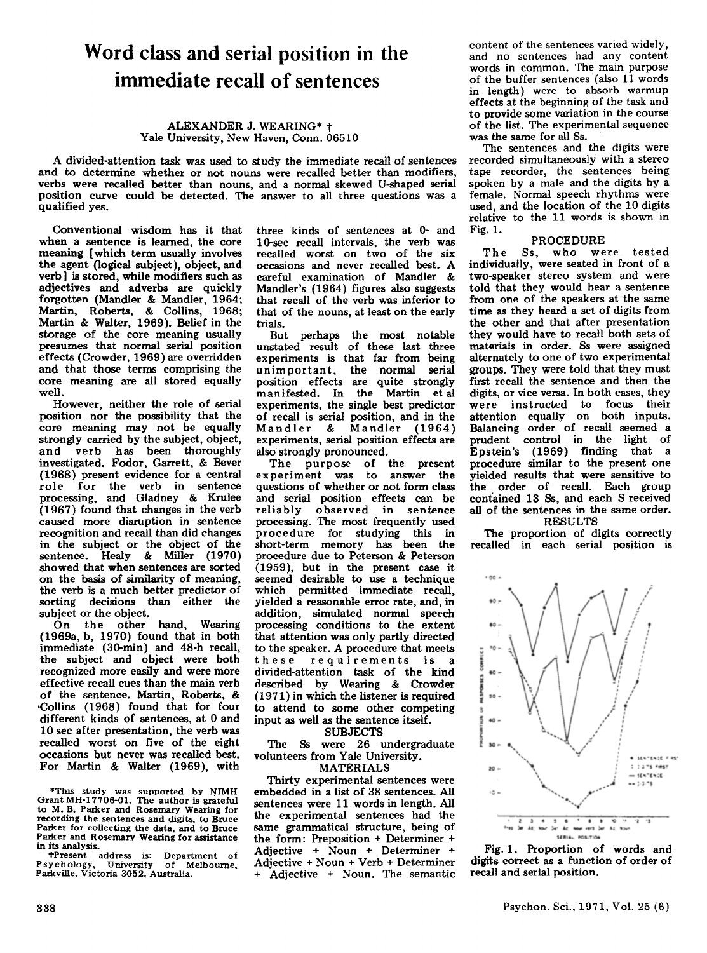# **Word class and serial position in the immediate recall of sentences**

#### ALEXANDER J. WEARING\* t Yale University, New Haven, Conn. 06510

A divided-attention task was used to study the immediate recall of sentenees and to determine whether or not nouns were reealled better than modifiers, verbs were recalled better than nouns, and a normal skewed U-shaped serial position eurve eould be detected. The answer to all three questions was a qualified yes.

Conventional wisdom has it that<br>when a sentence is learned, the core meaning [which term usually involves the agent (logieal subjeet), objeet, and verb] is stored, while modifiers such as adjectives and adverbs are quiekly forgotten (Mandler & Mandler, 1964; Martin, Roberts, & Collins, 1968; Martin & Walter, 1969). Belief in the storage of the core meaning usually presumes that normal serial position effects (Crowder, 1969) are overridden and that those terms eomprising the eore meaning are all stored equally weil.

However, neither the role of serial position nor the possibility that the eore meaning may not be equally strongly carried by the subject, objeet, and verb has been thoroughly investigated. Fodor, Garrett, & Bever (1968) present evidenee for a central role for the verb in sentence processing, and Gladney & Krulee (1967) found that ehanges in the verb caused more disruption in sentence recognition and recall than did changes in the subject or the object of the sentence. Healy & Miller (1970)<br>showed that when sentences are sorted on the basis of similarity of meaning, the verb is a mueh better predictor of sorting decisions than either the subjeet or the object.

On the other hand, Wearing (1969a, b, 1970) found that in both immediate (3Q-min) and 48-h recall, the subjeet and object were both reeognized more easily and were more effective recall cues than the main verb of the sentenee. Martin, Roberts, & 'Collins (1968) found that for four different kinds of sentences, at 0 and 10 sec after presentation, the verb was recalled worst on five of the eight occasions but never was recalled best. For Martin & Walter (1969), with

\*This study was supported by NIMH to M. B. Parker and Rosemary Wearing for recording the sentences and digits, to Bruce Parker for collecting the data, and to Bruce Parker and Rosemary Wearing for assistance in its analysis.

tPresent address is: Department of Psycho!ogy, University of Melbourne, Patkville, Victoria 3052, Australia.

three kinds of sentences at 0- and 1 Q-sec reeall intervals, the verb was recalled worst on two of the six occasions and never recalIed best. A careful examination of Mandler & Mandler's (1964) figures also suggests that recall of the verb was inferior to that of the nouns, at least on the early trials.

But perhaps the most notable unstated result of these last three experiments is that far from heing unimportant, the normal serial position effects are quite strongly manifested. In the Martin et al experiments, the single best predictor of recall is serial position, and in the Mandler & Mandler (1964) experiments, serial position effects are also strongly pronounced.

The purpose of the present experiment was to answer the questions of whether or not form class and serial position effects can be reliably observed in sentence processing. The most frequently used proeedure for studying this in short-term memory has been the procedure due to Peterson & Peterson (1959), but in the present case it seemed desirable to use a technique which permitted immediate recall, yielded a reasonable error rate, and, in addition, simulated normal speech proeessing eonditions to the extent that attention was only partly directed to the speaker. A procedure that meets these requirements is a divided-attention task of the kind described by Wearing & Crowder (1971) in which the listener is required to attend to some other competing input as well as the sentence itself.

**SUBJECTS** 

The Ss were 26 undergraduate volunteers from Yale University.

## MATERIALS

Thirty experimental sentenees were embedded in a list of 38 sentenees. All sentences were 11 words in length. All the experimental sentences had the same grammatical structure, being of the form: Preposition + Deterrniner + Adjective + Noun + Determiner + Adjeetive + Noun + Verb + Deterrniner + Adjeetive + Noun. The semantie content of the sentences varied widely, and no sentences had any content words in common. The main purpose of the buffer sentences (also 11 words in Iength) were to absorb warmup effeets at the beginning of the task and to provide same variation in the course of the list. The experimental sequence was the same for all Ss.

The sentences and the digits were reeorded simultaneously with a stereo tape recorder, the sentences being<br>spoken by a male and the digits by a female. Normal speech rhythms were used, and the location of the 10 digits relative to the 11 words is shown in Fig.1.

#### PROCEDURE

The Ss, who were tested individually, were seated in front of a two-speaker stereo system and were told that they would hear a sentence from one of the speakers at the same time as they heard a set of digits from the other and that after presentation they would have to recall both sets of materials in order. Ss were assigned alternately to one of two experimental groups. They were told that they must first reeall the sentence and then the digits, or vice versa. In both cases, they were instructed to focus their attention equaIly on both inputs. Balancing order of recall seemed a prudent control in the light of Epstein's (1969) finding that a procedure similar to the present one yielded results that were sensitive to the order of recalI. Eaeh group contained 13 Ss, and each S received all of the sentences in the same order.

#### RESULTS

The proportion of digits eorreetly recalled in each serial position is



Fig. 1. Proportion of words and digits correct as a function of order of recall and serial position.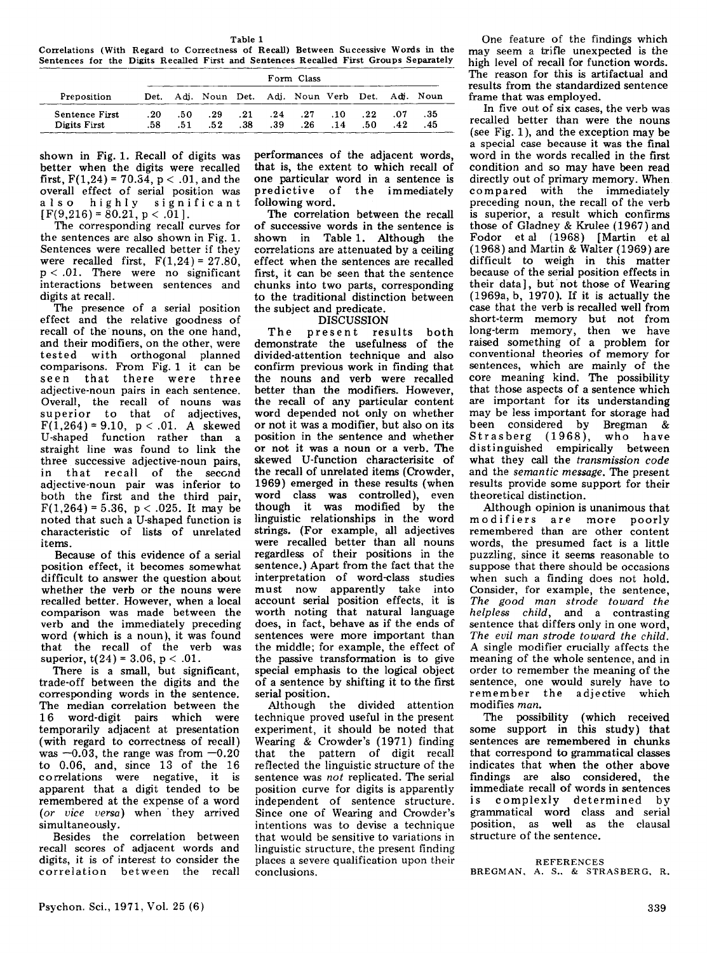Table 1

Correlations (With Regard to Correctness of Recall) Between Successive Words in the Sentences for the Digits Recalled First and Sentences Recalled First Groups Separately

| Preposition    | Form Class |      |                                                   |     |              |            |     |     |     |      |
|----------------|------------|------|---------------------------------------------------|-----|--------------|------------|-----|-----|-----|------|
|                |            |      | Det. Adj. Noun Det. Adj. Noun Verb Det. Adj. Noun |     |              |            |     |     |     |      |
| Sentence First | . 20       | - 50 | . 29                                              |     | $.21 \t .24$ | $\cdot$ 27 | .10 | .22 | .07 | - 35 |
| Digits First   | .58.       | .51  | .52                                               | .38 | .39          | .26        | .14 | .50 | 42  | .45  |

shown in Fig. 1. Recall of digits was better when the digits were recalled first,  $F(1,24) = 70.34$ ,  $p < .01$ , and the overall effect of serial position was also highly significant  $[F(9,216) = 80.21, p < .01].$ 

The corresponding recall curves for the sentences are also shown in Fig. 1. Sentences were recalled better if they were recalled first,  $F(1,24) = 27.80$ , p < .01. There were no significant interactions between sentences and digits at recall.

The presence of a serial position effect and the relative goodness of recall of the' nouns, on the one hand, and their modifiers, on the other, were tested with orthogonal planned comparisons. From Fig. 1 it can be seen that there were three adjective-noun pairs in each sentence. Overall, the recall of nouns was superior to that of adjectives,  $F(1,264) = 9.10, p < .01.$  A skewed U-shaped function rather than a straight line was found to link the three successive adjective-noun pairs, in that recall of the second adjective-noun pair was inferior to both the first and the third pair,  $F(1,264) = 5.36$ ,  $p < .025$ . It may be noted that such a U-shaped function is characteristic of lists of unrelated items.

Because of this evidence of a serial position effect, it becomes somewhat difficult to answer the question about whether the verb or the nouns were recalled better. However, when a local comparison was made between the verb and the immediately preceding word (which is a noun), it was found that the recall of the verb was superior,  $t(24) = 3.06$ ,  $p < .01$ .

There is a small, but significant, trade-off between the digits and the corresponding words in the sentence. The median correlation between the 16 word-digit pairs which were temporarily adjacent at presentation (with regard to correctness of recall) was  $-0.03$ , the range was from  $-0.20$ to 0.06, and, since 13 of the 16 correlations were negative, it is apparent that a digit tended to be remembered at the expense of a word (or vice versa) when they arrived simultaneously.

Besides the correlation between recal! scores of adjacent words and digits, it is of interest to consider the correlation between the recall performances of the adjacent words, that is, the extent to which recall of one particular word in a sentence is predictive of the immediately following word.

The correlation between the recall of successive words in the sentence is shown in Table 1. Although the correlations are attenuated by a ceiling effect when the sentences are recalled first, it can be seen that the sentence chunks into two parts, corresponding to the traditional distinction between the subject and predicate.

### DISCUSSION

The present results both demonstrate the usefulness of the divided-attention technique and also confirm previous work in finding that the nouns and verb were recalled better than the modifiers. However, the recall of any particular content word depended not only on whether or not it was a modifier, but also on its position in the sentence and whether or not it was a noun or a verb. The skewed U-function characterisitc of the recall of unrelated items (Crowder, 1969) emerged in these results (when word class was controlled), even though it was modified by the linguistic relationships in the word strings. (For example, all adjectives were recalled better than all nouns regardless of their positions in the sentence.) Apart from the fact that the interpretation of word-class studies must now apparently take into account serial position effects, it is worth noting that natural language does, in fact, behave as if the ends of sentences were more important than the middle; for example, the effect of the passive transformation is to give special emphasis to the logical object of a sentence by shifting it to the first serial position.

Although the divided attention technique proved useful in the present experiment, it should be noted that Wearing & Crowder's (1971) finding that the pattern of digit recall reflected the linguistic structure of the sentence was *not* replicated. The serial position curve for digits is apparently independent of sentence structure. Since one of Wearing and Crowder's intentions was to devise a technique that would be sensitive to variations in linguistic structure, the present finding places a severe qualification upon their conclusions.

One feature of the findings which may seem a trifle unexpected is the high level of recall for function words. The reason for this is artifactual and results from the standardized sentence frame that was employed.

In five out of six cases, the verb was recalled better than were the nouns (see Fig. 1), and the exception may be a special case because it was the final word in the words recalled in the first condition and so may have been read directly out of primary memory. When compared with the immediately preceding noun, the recall of the verb is superior, a result which confirms those of Gladney & Krulee (1967) and Fodor et al (1968) [Martin et al (1968) and Martin & Walter (1969) are difficult to weigh in this matter because of the serial position effects in their data], but not those of Wearing (1969a, b, 1970). If it is actually the case that the verb is recalled well from short-term memory but not from long-term memory, then we have raised something of a problem for conventional theories of memory for sentences, which are mainly of the core meaning kind. The possibility that those aspects of a sentence which are important for its understanding may be less important for storage had been considered by Bregman & Stras berg (1968), who have distinguished empirically between what they caJJ the *transmission code*  and the *semantic message.* The present results provide some support for their theoretical distinction\_

Although opinion is unanimous that modifiers are more poorly remembered than are other content words, the presumed fact is a little puzzling, since it seems reasonable to suppose that there should be occasions when such a finding does not hold. Consider, for example, the sentence, *The good man strode toward the helpless child,* and a contrasting sentence that differs only in one word, *The evil man strode toward the child.*  A single modifier crucially affects the meaning of the whole sentence, and in order to remember the meaning of the sentence, one would surely have to remember the adjective which modi fies *man.* 

The possibility (which received some support in this study) that sentences are remembered in chunks that correspond to grammatical classes indicates that when the other above findings are also considered, the immediate recall of words in sentences is complexly determined by grammatical word class and serial position, as well as the clausal structure of the sentence.

#### REFERENCES

BREGMAN, A. S., & STRASBERG, R.